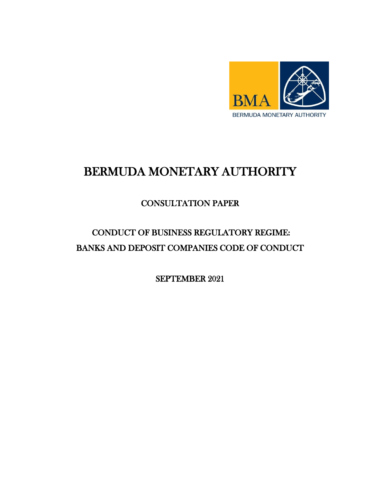

# BERMUDA MONETARY AUTHORITY

# CONSULTATION PAPER

# CONDUCT OF BUSINESS REGULATORY REGIME: BANKS AND DEPOSIT COMPANIES CODE OF CONDUCT

SEPTEMBER 2021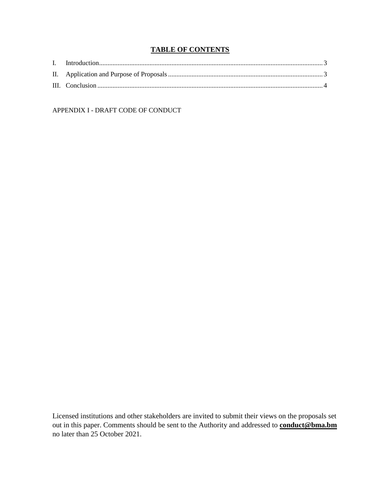# **TABLE OF CONTENTS**

APPENDIX I - DRAFT CODE OF CONDUCT

Licensed institutions and other stakeholders are invited to submit their views on the proposals set out in this paper. Comments should be sent to the Authority and addressed to **conduct@bma.bm** no later than 25 October 2021.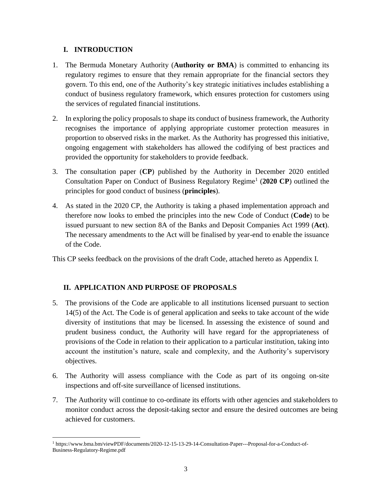# <span id="page-2-0"></span>**I. INTRODUCTION**

 $\overline{a}$ 

- 1. The Bermuda Monetary Authority (**Authority or BMA**) is committed to enhancing its regulatory regimes to ensure that they remain appropriate for the financial sectors they govern. To this end, one of the Authority's key strategic initiatives includes establishing a conduct of business regulatory framework, which ensures protection for customers using the services of regulated financial institutions.
- 2. In exploring the policy proposals to shape its conduct of business framework, the Authority recognises the importance of applying appropriate customer protection measures in proportion to observed risks in the market. As the Authority has progressed this initiative, ongoing engagement with stakeholders has allowed the codifying of best practices and provided the opportunity for stakeholders to provide feedback.
- 3. The consultation paper (**CP**) published by the Authority in December 2020 entitled Consultation Paper on Conduct of Business Regulatory Regime<sup>1</sup> (2020 CP) outlined the principles for good conduct of business (**principles**).
- 4. As stated in the 2020 CP, the Authority is taking a phased implementation approach and therefore now looks to embed the principles into the new Code of Conduct (**Code**) to be issued pursuant to new section 8A of the Banks and Deposit Companies Act 1999 (**Act**). The necessary amendments to the Act will be finalised by year-end to enable the issuance of the Code.

This CP seeks feedback on the provisions of the draft Code, attached hereto as Appendix I.

# <span id="page-2-1"></span>**II. APPLICATION AND PURPOSE OF PROPOSALS**

- 5. The provisions of the Code are applicable to all institutions licensed pursuant to section 14(5) of the Act. The Code is of general application and seeks to take account of the wide diversity of institutions that may be licensed. In assessing the existence of sound and prudent business conduct, the Authority will have regard for the appropriateness of provisions of the Code in relation to their application to a particular institution, taking into account the institution's nature, scale and complexity, and the Authority's supervisory objectives.
- 6. The Authority will assess compliance with the Code as part of its ongoing on-site inspections and off-site surveillance of licensed institutions.
- 7. The Authority will continue to co-ordinate its efforts with other agencies and stakeholders to monitor conduct across the deposit-taking sector and ensure the desired outcomes are being achieved for customers.

<sup>1</sup> https://www.bma.bm/viewPDF/documents/2020-12-15-13-29-14-Consultation-Paper---Proposal-for-a-Conduct-of-Business-Regulatory-Regime.pdf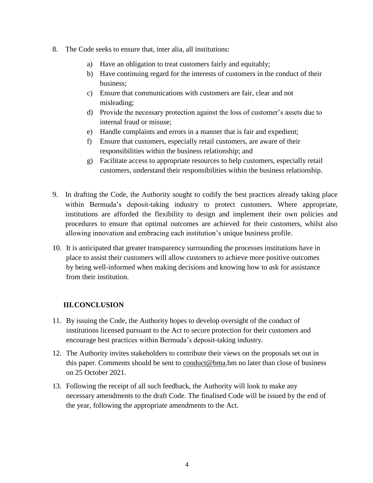- 8. The Code seeks to ensure that, inter alia, all institutions:
	- a) Have an obligation to treat customers fairly and equitably;
	- b) Have continuing regard for the interests of customers in the conduct of their business;
	- c) Ensure that communications with customers are fair, clear and not misleading;
	- d) Provide the necessary protection against the loss of customer's assets due to internal fraud or misuse;
	- e) Handle complaints and errors in a manner that is fair and expedient;
	- f) Ensure that customers, especially retail customers, are aware of their responsibilities within the business relationship; and
	- g) Facilitate access to appropriate resources to help customers, especially retail customers, understand their responsibilities within the business relationship.
- 9. In drafting the Code, the Authority sought to codify the best practices already taking place within Bermuda's deposit-taking industry to protect customers. Where appropriate, institutions are afforded the flexibility to design and implement their own policies and procedures to ensure that optimal outcomes are achieved for their customers, whilst also allowing innovation and embracing each institution's unique business profile.
- 10. It is anticipated that greater transparency surrounding the processes institutions have in place to assist their customers will allow customers to achieve more positive outcomes by being well-informed when making decisions and knowing how to ask for assistance from their institution.

# <span id="page-3-0"></span>**III.CONCLUSION**

- 11. By issuing the Code, the Authority hopes to develop oversight of the conduct of institutions licensed pursuant to the Act to secure protection for their customers and encourage best practices within Bermuda's deposit-taking industry.
- 12. The Authority invites stakeholders to contribute their views on the proposals set out in this paper. Comments should be sent to  $\overline{conduct@bma}$ .bm no later than close of business on 25 October 2021.
- 13. Following the receipt of all such feedback, the Authority will look to make any necessary amendments to the draft Code. The finalised Code will be issued by the end of the year, following the appropriate amendments to the Act.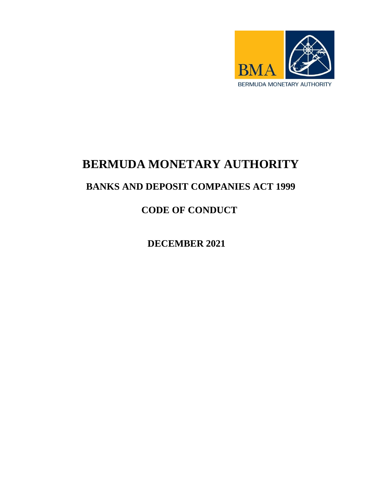

# **BERMUDA MONETARY AUTHORITY**

# **BANKS AND DEPOSIT COMPANIES ACT 1999**

**CODE OF CONDUCT** 

**DECEMBER 2021**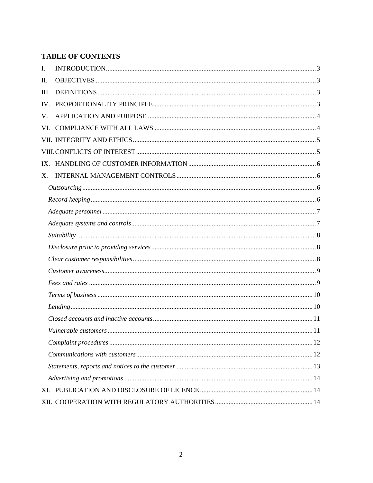# **TABLE OF CONTENTS**

| I.  |  |  |  |  |  |  |
|-----|--|--|--|--|--|--|
| II. |  |  |  |  |  |  |
| Ш.  |  |  |  |  |  |  |
| IV. |  |  |  |  |  |  |
| V.  |  |  |  |  |  |  |
| VI. |  |  |  |  |  |  |
|     |  |  |  |  |  |  |
|     |  |  |  |  |  |  |
|     |  |  |  |  |  |  |
| X.  |  |  |  |  |  |  |
|     |  |  |  |  |  |  |
|     |  |  |  |  |  |  |
|     |  |  |  |  |  |  |
|     |  |  |  |  |  |  |
|     |  |  |  |  |  |  |
|     |  |  |  |  |  |  |
|     |  |  |  |  |  |  |
|     |  |  |  |  |  |  |
|     |  |  |  |  |  |  |
|     |  |  |  |  |  |  |
|     |  |  |  |  |  |  |
|     |  |  |  |  |  |  |
|     |  |  |  |  |  |  |
|     |  |  |  |  |  |  |
|     |  |  |  |  |  |  |
|     |  |  |  |  |  |  |
|     |  |  |  |  |  |  |
|     |  |  |  |  |  |  |
|     |  |  |  |  |  |  |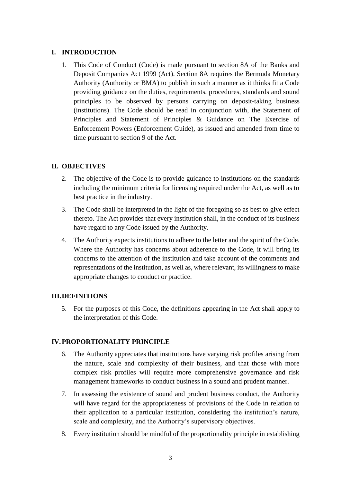# <span id="page-6-0"></span>**I. INTRODUCTION**

1. This Code of Conduct (Code) is made pursuant to section 8A of the Banks and Deposit Companies Act 1999 (Act). Section 8A requires the Bermuda Monetary Authority (Authority or BMA) to publish in such a manner as it thinks fit a Code providing guidance on the duties, requirements, procedures, standards and sound principles to be observed by persons carrying on deposit-taking business (institutions). The Code should be read in conjunction with, the Statement of Principles and Statement of Principles & Guidance on The Exercise of Enforcement Powers (Enforcement Guide), as issued and amended from time to time pursuant to section 9 of the Act.

# <span id="page-6-1"></span>**II. OBJECTIVES**

- 2. The objective of the Code is to provide guidance to institutions on the standards including the minimum criteria for licensing required under the Act, as well as to best practice in the industry.
- 3. The Code shall be interpreted in the light of the foregoing so as best to give effect thereto. The Act provides that every institution shall, in the conduct of its business have regard to any Code issued by the Authority.
- 4. The Authority expects institutions to adhere to the letter and the spirit of the Code. Where the Authority has concerns about adherence to the Code, it will bring its concerns to the attention of the institution and take account of the comments and representations of the institution, as well as, where relevant, its willingness to make appropriate changes to conduct or practice.

# <span id="page-6-3"></span><span id="page-6-2"></span>**III.DEFINITIONS**

5. For the purposes of this Code, the definitions appearing in the Act shall apply to the interpretation of this Code.

# **IV.PROPORTIONALITY PRINCIPLE**

- 6. The Authority appreciates that institutions have varying risk profiles arising from the nature, scale and complexity of their business, and that those with more complex risk profiles will require more comprehensive governance and risk management frameworks to conduct business in a sound and prudent manner.
- 7. In assessing the existence of sound and prudent business conduct, the Authority will have regard for the appropriateness of provisions of the Code in relation to their application to a particular institution, considering the institution's nature, scale and complexity, and the Authority's supervisory objectives.
- 8. Every institution should be mindful of the proportionality principle in establishing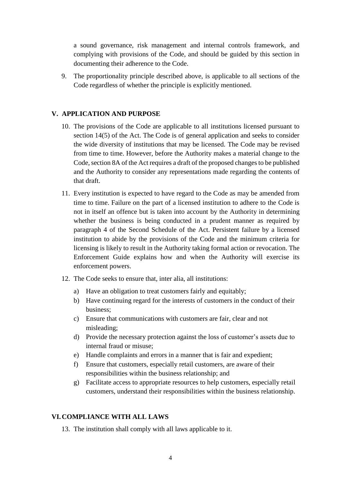a sound governance, risk management and internal controls framework, and complying with provisions of the Code, and should be guided by this section in documenting their adherence to the Code.

<span id="page-7-0"></span>9. The proportionality principle described above, is applicable to all sections of the Code regardless of whether the principle is explicitly mentioned.

# **V. APPLICATION AND PURPOSE**

- 10. The provisions of the Code are applicable to all institutions licensed pursuant to section 14(5) of the Act. The Code is of general application and seeks to consider the wide diversity of institutions that may be licensed. The Code may be revised from time to time. However, before the Authority makes a material change to the Code, section 8A of the Act requires a draft of the proposed changes to be published and the Authority to consider any representations made regarding the contents of that draft.
- 11. Every institution is expected to have regard to the Code as may be amended from time to time. Failure on the part of a licensed institution to adhere to the Code is not in itself an offence but is taken into account by the Authority in determining whether the business is being conducted in a prudent manner as required by paragraph 4 of the Second Schedule of the Act. Persistent failure by a licensed institution to abide by the provisions of the Code and the minimum criteria for licensing is likely to result in the Authority taking formal action or revocation. The Enforcement Guide explains how and when the Authority will exercise its enforcement powers.
- 12. The Code seeks to ensure that, inter alia, all institutions:
	- a) Have an obligation to treat customers fairly and equitably;
	- b) Have continuing regard for the interests of customers in the conduct of their business;
	- c) Ensure that communications with customers are fair, clear and not misleading;
	- d) Provide the necessary protection against the loss of customer's assets due to internal fraud or misuse;
	- e) Handle complaints and errors in a manner that is fair and expedient;
	- f) Ensure that customers, especially retail customers, are aware of their responsibilities within the business relationship; and
	- g) Facilitate access to appropriate resources to help customers, especially retail customers, understand their responsibilities within the business relationship.

# <span id="page-7-1"></span>**VI.COMPLIANCE WITH ALL LAWS**

13. The institution shall comply with all laws applicable to it.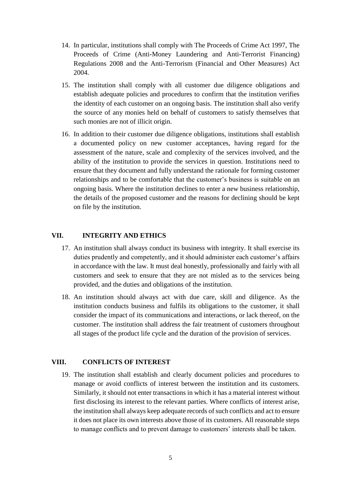- 14. In particular, institutions shall comply with The Proceeds of Crime Act 1997, The Proceeds of Crime (Anti-Money Laundering and Anti-Terrorist Financing) Regulations 2008 and the Anti-Terrorism (Financial and Other Measures) Act 2004.
- 15. The institution shall comply with all customer due diligence obligations and establish adequate policies and procedures to confirm that the institution verifies the identity of each customer on an ongoing basis. The institution shall also verify the source of any monies held on behalf of customers to satisfy themselves that such monies are not of illicit origin.
- 16. In addition to their customer due diligence obligations, institutions shall establish a documented policy on new customer acceptances, having regard for the assessment of the nature, scale and complexity of the services involved, and the ability of the institution to provide the services in question. Institutions need to ensure that they document and fully understand the rationale for forming customer relationships and to be comfortable that the customer's business is suitable on an ongoing basis. Where the institution declines to enter a new business relationship, the details of the proposed customer and the reasons for declining should be kept on file by the institution.

#### <span id="page-8-0"></span>**VII. INTEGRITY AND ETHICS**

- 17. An institution shall always conduct its business with integrity. It shall exercise its duties prudently and competently, and it should administer each customer's affairs in accordance with the law. It must deal honestly, professionally and fairly with all customers and seek to ensure that they are not misled as to the services being provided, and the duties and obligations of the institution.
- 18. An institution should always act with due care, skill and diligence. As the institution conducts business and fulfils its obligations to the customer, it shall consider the impact of its communications and interactions, or lack thereof, on the customer. The institution shall address the fair treatment of customers throughout all stages of the product life cycle and the duration of the provision of services.

#### <span id="page-8-1"></span>**VIII. CONFLICTS OF INTEREST**

19. The institution shall establish and clearly document policies and procedures to manage or avoid conflicts of interest between the institution and its customers. Similarly, it should not enter transactions in which it has a material interest without first disclosing its interest to the relevant parties. Where conflicts of interest arise, the institution shall always keep adequate records of such conflicts and act to ensure it does not place its own interests above those of its customers. All reasonable steps to manage conflicts and to prevent damage to customers' interests shall be taken.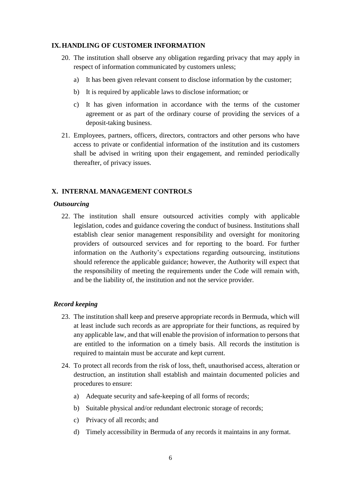#### <span id="page-9-0"></span>**IX.HANDLING OF CUSTOMER INFORMATION**

- 20. The institution shall observe any obligation regarding privacy that may apply in respect of information communicated by customers unless;
	- a) It has been given relevant consent to disclose information by the customer;
	- b) It is required by applicable laws to disclose information; or
	- c) It has given information in accordance with the terms of the customer agreement or as part of the ordinary course of providing the services of a deposit-taking business.
- <span id="page-9-1"></span>21. Employees, partners, officers, directors, contractors and other persons who have access to private or confidential information of the institution and its customers shall be advised in writing upon their engagement, and reminded periodically thereafter, of privacy issues.

# <span id="page-9-2"></span>**X. INTERNAL MANAGEMENT CONTROLS**

#### *Outsourcing*

22. The institution shall ensure outsourced activities comply with applicable legislation, codes and guidance covering the conduct of business. Institutions shall establish clear senior management responsibility and oversight for monitoring providers of outsourced services and for reporting to the board. For further information on the Authority's expectations regarding outsourcing, institutions should reference the applicable guidance; however, the Authority will expect that the responsibility of meeting the requirements under the Code will remain with, and be the liability of, the institution and not the service provider.

#### <span id="page-9-3"></span>*Record keeping*

- 23. The institution shall keep and preserve appropriate records in Bermuda, which will at least include such records as are appropriate for their functions, as required by any applicable law, and that will enable the provision of information to persons that are entitled to the information on a timely basis. All records the institution is required to maintain must be accurate and kept current.
- 24. To protect all records from the risk of loss, theft, unauthorised access, alteration or destruction, an institution shall establish and maintain documented policies and procedures to ensure:
	- a) Adequate security and safe-keeping of all forms of records;
	- b) Suitable physical and/or redundant electronic storage of records;
	- c) Privacy of all records; and
	- d) Timely accessibility in Bermuda of any records it maintains in any format.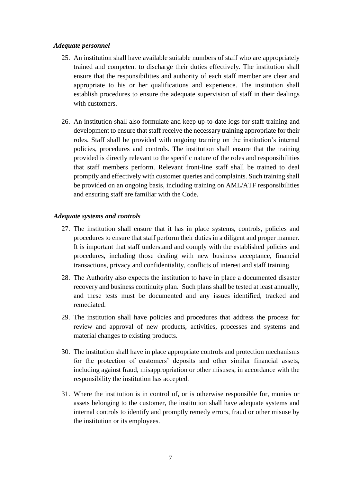#### <span id="page-10-0"></span>*Adequate personnel*

- 25. An institution shall have available suitable numbers of staff who are appropriately trained and competent to discharge their duties effectively. The institution shall ensure that the responsibilities and authority of each staff member are clear and appropriate to his or her qualifications and experience. The institution shall establish procedures to ensure the adequate supervision of staff in their dealings with customers.
- 26. An institution shall also formulate and keep up-to-date logs for staff training and development to ensure that staff receive the necessary training appropriate for their roles. Staff shall be provided with ongoing training on the institution's internal policies, procedures and controls. The institution shall ensure that the training provided is directly relevant to the specific nature of the roles and responsibilities that staff members perform. Relevant front-line staff shall be trained to deal promptly and effectively with customer queries and complaints. Such training shall be provided on an ongoing basis, including training on AML/ATF responsibilities and ensuring staff are familiar with the Code.

#### <span id="page-10-1"></span>*Adequate systems and controls*

- 27. The institution shall ensure that it has in place systems, controls, policies and procedures to ensure that staff perform their duties in a diligent and proper manner. It is important that staff understand and comply with the established policies and procedures, including those dealing with new business acceptance, financial transactions, privacy and confidentiality, conflicts of interest and staff training.
- 28. The Authority also expects the institution to have in place a documented disaster recovery and business continuity plan. Such plans shall be tested at least annually, and these tests must be documented and any issues identified, tracked and remediated.
- 29. The institution shall have policies and procedures that address the process for review and approval of new products, activities, processes and systems and material changes to existing products.
- 30. The institution shall have in place appropriate controls and protection mechanisms for the protection of customers' deposits and other similar financial assets, including against fraud, misappropriation or other misuses, in accordance with the responsibility the institution has accepted.
- 31. Where the institution is in control of, or is otherwise responsible for, monies or assets belonging to the customer, the institution shall have adequate systems and internal controls to identify and promptly remedy errors, fraud or other misuse by the institution or its employees.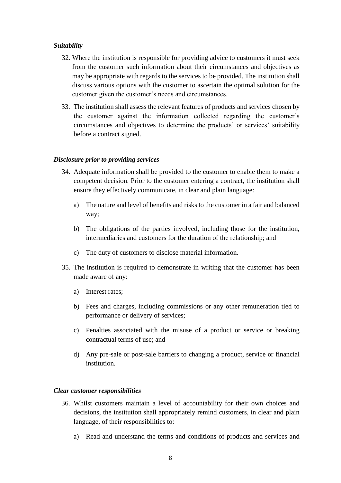#### <span id="page-11-0"></span>*Suitability*

- 32. Where the institution is responsible for providing advice to customers it must seek from the customer such information about their circumstances and objectives as may be appropriate with regards to the services to be provided. The institution shall discuss various options with the customer to ascertain the optimal solution for the customer given the customer's needs and circumstances.
- <span id="page-11-1"></span>33. The institution shall assess the relevant features of products and services chosen by the customer against the information collected regarding the customer's circumstances and objectives to determine the products' or services' suitability before a contract signed.

#### *Disclosure prior to providing services*

- 34. Adequate information shall be provided to the customer to enable them to make a competent decision. Prior to the customer entering a contract, the institution shall ensure they effectively communicate, in clear and plain language:
	- a) The nature and level of benefits and risks to the customer in a fair and balanced way;
	- b) The obligations of the parties involved, including those for the institution, intermediaries and customers for the duration of the relationship; and
	- c) The duty of customers to disclose material information.
- 35. The institution is required to demonstrate in writing that the customer has been made aware of any:
	- a) Interest rates;
	- b) Fees and charges, including commissions or any other remuneration tied to performance or delivery of services;
	- c) Penalties associated with the misuse of a product or service or breaking contractual terms of use; and
	- d) Any pre-sale or post-sale barriers to changing a product, service or financial institution.

#### <span id="page-11-2"></span>*Clear customer responsibilities*

- 36. Whilst customers maintain a level of accountability for their own choices and decisions, the institution shall appropriately remind customers, in clear and plain language, of their responsibilities to:
	- a) Read and understand the terms and conditions of products and services and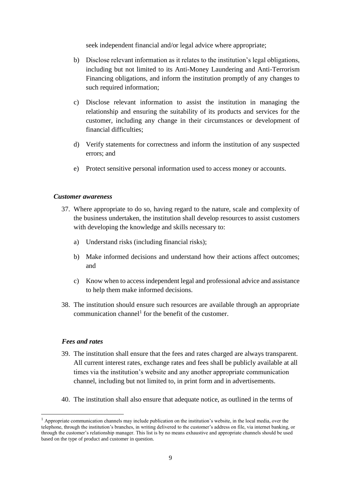seek independent financial and/or legal advice where appropriate;

- b) Disclose relevant information as it relates to the institution's legal obligations, including but not limited to its Anti-Money Laundering and Anti-Terrorism Financing obligations, and inform the institution promptly of any changes to such required information;
- c) Disclose relevant information to assist the institution in managing the relationship and ensuring the suitability of its products and services for the customer, including any change in their circumstances or development of financial difficulties;
- d) Verify statements for correctness and inform the institution of any suspected errors; and
- e) Protect sensitive personal information used to access money or accounts.

#### <span id="page-12-0"></span>*Customer awareness*

- 37. Where appropriate to do so, having regard to the nature, scale and complexity of the business undertaken, the institution shall develop resources to assist customers with developing the knowledge and skills necessary to:
	- a) Understand risks (including financial risks);
	- b) Make informed decisions and understand how their actions affect outcomes; and
	- c) Know when to access independent legal and professional advice and assistance to help them make informed decisions.
- <span id="page-12-1"></span>38. The institution should ensure such resources are available through an appropriate communication channel<sup>1</sup> for the benefit of the customer.

#### *Fees and rates*

**.** 

- 39. The institution shall ensure that the fees and rates charged are always transparent. All current interest rates, exchange rates and fees shall be publicly available at all times via the institution's website and any another appropriate communication channel, including but not limited to, in print form and in advertisements.
- 40. The institution shall also ensure that adequate notice, as outlined in the terms of

 $<sup>1</sup>$  Appropriate communication channels may include publication on the institution's website, in the local media, over the</sup> telephone, through the institution's branches, in writing delivered to the customer's address on file, via internet banking, or through the customer's relationship manager. This list is by no means exhaustive and appropriate channels should be used based on the type of product and customer in question.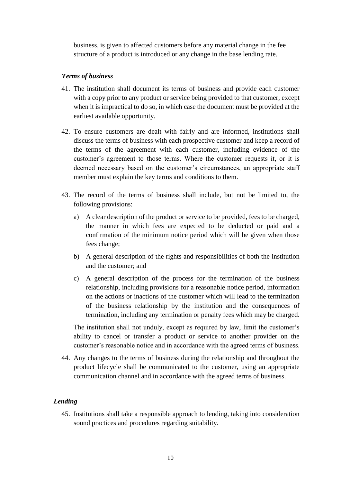<span id="page-13-0"></span>business, is given to affected customers before any material change in the fee structure of a product is introduced or any change in the base lending rate.

#### *Terms of business*

- 41. The institution shall document its terms of business and provide each customer with a copy prior to any product or service being provided to that customer, except when it is impractical to do so, in which case the document must be provided at the earliest available opportunity.
- 42. To ensure customers are dealt with fairly and are informed, institutions shall discuss the terms of business with each prospective customer and keep a record of the terms of the agreement with each customer, including evidence of the customer's agreement to those terms. Where the customer requests it, or it is deemed necessary based on the customer's circumstances, an appropriate staff member must explain the key terms and conditions to them.
- 43. The record of the terms of business shall include, but not be limited to, the following provisions:
	- a) A clear description of the product or service to be provided, fees to be charged, the manner in which fees are expected to be deducted or paid and a confirmation of the minimum notice period which will be given when those fees change;
	- b) A general description of the rights and responsibilities of both the institution and the customer; and
	- c) A general description of the process for the termination of the business relationship, including provisions for a reasonable notice period, information on the actions or inactions of the customer which will lead to the termination of the business relationship by the institution and the consequences of termination, including any termination or penalty fees which may be charged.

The institution shall not unduly, except as required by law, limit the customer's ability to cancel or transfer a product or service to another provider on the customer's reasonable notice and in accordance with the agreed terms of business.

<span id="page-13-1"></span>44. Any changes to the terms of business during the relationship and throughout the product lifecycle shall be communicated to the customer, using an appropriate communication channel and in accordance with the agreed terms of business.

# *Lending*

45. Institutions shall take a responsible approach to lending, taking into consideration sound practices and procedures regarding suitability.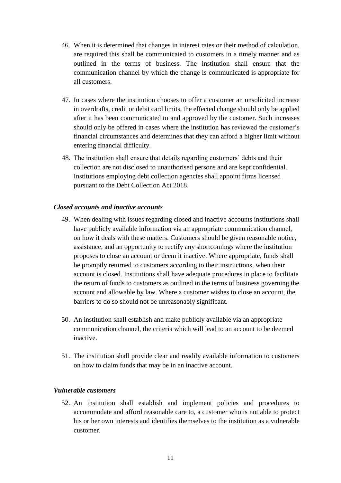- 46. When it is determined that changes in interest rates or their method of calculation, are required this shall be communicated to customers in a timely manner and as outlined in the terms of business. The institution shall ensure that the communication channel by which the change is communicated is appropriate for all customers.
- 47. In cases where the institution chooses to offer a customer an unsolicited increase in overdrafts, credit or debit card limits, the effected change should only be applied after it has been communicated to and approved by the customer. Such increases should only be offered in cases where the institution has reviewed the customer's financial circumstances and determines that they can afford a higher limit without entering financial difficulty.
- <span id="page-14-0"></span>48. The institution shall ensure that details regarding customers' debts and their collection are not disclosed to unauthorised persons and are kept confidential. Institutions employing debt collection agencies shall appoint firms licensed pursuant to the Debt Collection Act 2018.

#### *Closed accounts and inactive accounts*

- 49. When dealing with issues regarding closed and inactive accounts institutions shall have publicly available information via an appropriate communication channel, on how it deals with these matters. Customers should be given reasonable notice, assistance, and an opportunity to rectify any shortcomings where the institution proposes to close an account or deem it inactive. Where appropriate, funds shall be promptly returned to customers according to their instructions, when their account is closed. Institutions shall have adequate procedures in place to facilitate the return of funds to customers as outlined in the terms of business governing the account and allowable by law. Where a customer wishes to close an account, the barriers to do so should not be unreasonably significant.
- 50. An institution shall establish and make publicly available via an appropriate communication channel, the criteria which will lead to an account to be deemed inactive.
- <span id="page-14-1"></span>51. The institution shall provide clear and readily available information to customers on how to claim funds that may be in an inactive account.

#### *Vulnerable customers*

52. An institution shall establish and implement policies and procedures to accommodate and afford reasonable care to, a customer who is not able to protect his or her own interests and identifies themselves to the institution as a vulnerable customer.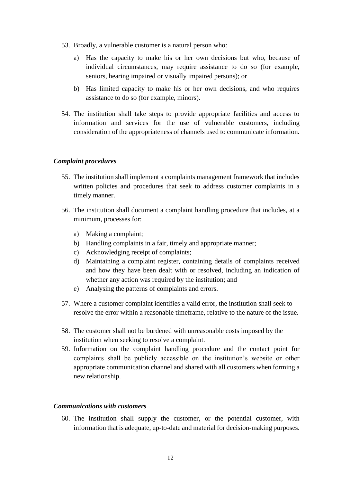- 53. Broadly, a vulnerable customer is a natural person who:
	- a) Has the capacity to make his or her own decisions but who, because of individual circumstances, may require assistance to do so (for example, seniors, hearing impaired or visually impaired persons); or
	- b) Has limited capacity to make his or her own decisions, and who requires assistance to do so (for example, minors).
- <span id="page-15-0"></span>54. The institution shall take steps to provide appropriate facilities and access to information and services for the use of vulnerable customers, including consideration of the appropriateness of channels used to communicate information.

# *Complaint procedures*

- 55. The institution shall implement a complaints management framework that includes written policies and procedures that seek to address customer complaints in a timely manner.
- 56. The institution shall document a complaint handling procedure that includes, at a minimum, processes for:
	- a) Making a complaint;
	- b) Handling complaints in a fair, timely and appropriate manner;
	- c) Acknowledging receipt of complaints;
	- d) Maintaining a complaint register, containing details of complaints received and how they have been dealt with or resolved, including an indication of whether any action was required by the institution; and
	- e) Analysing the patterns of complaints and errors.
- 57. Where a customer complaint identifies a valid error, the institution shall seek to resolve the error within a reasonable timeframe, relative to the nature of the issue.
- 58. The customer shall not be burdened with unreasonable costs imposed by the institution when seeking to resolve a complaint.
- 59. Information on the complaint handling procedure and the contact point for complaints shall be publicly accessible on the institution's website or other appropriate communication channel and shared with all customers when forming a new relationship.

# <span id="page-15-1"></span>*Communications with customers*

60. The institution shall supply the customer, or the potential customer, with information that is adequate, up-to-date and material for decision-making purposes.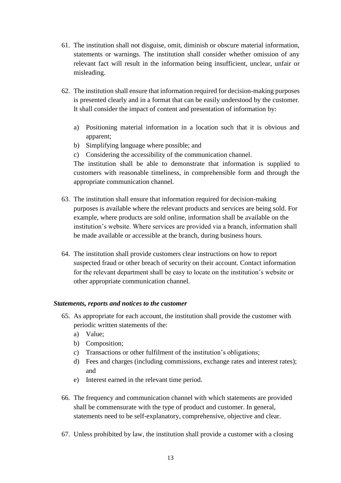- 61. The institution shall not disguise, omit, diminish or obscure material information, statements or warnings. The institution shall consider whether omission of any relevant fact will result in the information being insufficient, unclear, unfair or misleading.
- 62. The institution shall ensure that information required for decision-making purposes is presented clearly and in a format that can be easily understood by the customer. It shall consider the impact of content and presentation of information by:
	- a) Positioning material information in a location such that it is obvious and apparent;
	- b) Simplifying language where possible; and
	- c) Considering the accessibility of the communication channel.

The institution shall be able to demonstrate that information is supplied to customers with reasonable timeliness, in comprehensible form and through the appropriate communication channel.

- 63. The institution shall ensure that information required for decision-making purposes is available where the relevant products and services are being sold. For example, where products are sold online, information shall be available on the institution's website. Where services are provided via a branch, information shall be made available or accessible at the branch, during business hours.
- <span id="page-16-0"></span>64. The institution shall provide customers clear instructions on how to report suspected fraud or other breach of security on their account. Contact information for the relevant department shall be easy to locate on the institution's website or other appropriate communication channel.

# *Statements, reports and notices to the customer*

- 65. As appropriate for each account, the institution shall provide the customer with periodic written statements of the:
	- a) Value;
	- b) Composition;
	- c) Transactions or other fulfilment of the institution's obligations;
	- d) Fees and charges (including commissions, exchange rates and interest rates); and
	- e) Interest earned in the relevant time period.
- 66. The frequency and communication channel with which statements are provided shall be commensurate with the type of product and customer. In general, statements need to be self-explanatory, comprehensive, objective and clear.
- 67. Unless prohibited by law, the institution shall provide a customer with a closing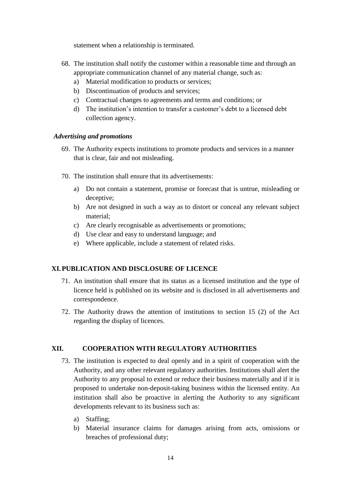statement when a relationship is terminated.

- 68. The institution shall notify the customer within a reasonable time and through an appropriate communication channel of any material change, such as:
	- a) Material modification to products or services;
	- b) Discontinuation of products and services;
	- c) Contractual changes to agreements and terms and conditions; or
	- d) The institution's intention to transfer a customer's debt to a licensed debt collection agency.

# <span id="page-17-0"></span>*Advertising and promotions*

- 69. The Authority expects institutions to promote products and services in a manner that is clear, fair and not misleading.
- 70. The institution shall ensure that its advertisements:
	- a) Do not contain a statement, promise or forecast that is untrue, misleading or deceptive;
	- b) Are not designed in such a way as to distort or conceal any relevant subject material;
	- c) Are clearly recognisable as advertisements or promotions;
	- d) Use clear and easy to understand language; and
	- e) Where applicable, include a statement of related risks.

# <span id="page-17-1"></span>**XI.PUBLICATION AND DISCLOSURE OF LICENCE**

- 71. An institution shall ensure that its status as a licensed institution and the type of licence held is published on its website and is disclosed in all advertisements and correspondence.
- <span id="page-17-2"></span>72. The Authority draws the attention of institutions to section 15 (2) of the Act regarding the display of licences.

# **XII. COOPERATION WITH REGULATORY AUTHORITIES**

- 73. The institution is expected to deal openly and in a spirit of cooperation with the Authority, and any other relevant regulatory authorities. Institutions shall alert the Authority to any proposal to extend or reduce their business materially and if it is proposed to undertake non-deposit-taking business within the licensed entity. An institution shall also be proactive in alerting the Authority to any significant developments relevant to its business such as:
	- a) Staffing;
	- b) Material insurance claims for damages arising from acts, omissions or breaches of professional duty;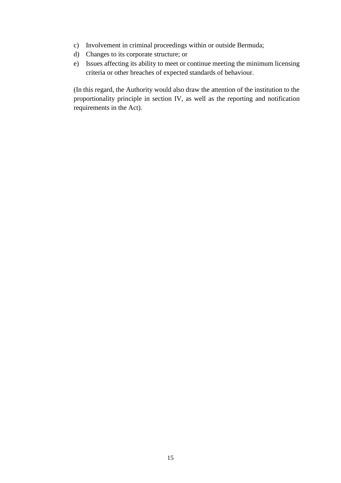- c) Involvement in criminal proceedings within or outside Bermuda;
- d) Changes to its corporate structure; or
- e) Issues affecting its ability to meet or continue meeting the minimum licensing criteria or other breaches of expected standards of behaviour.

(In this regard, the Authority would also draw the attention of the institution to the proportionality principle in section IV, as well as the reporting and notification requirements in the Act).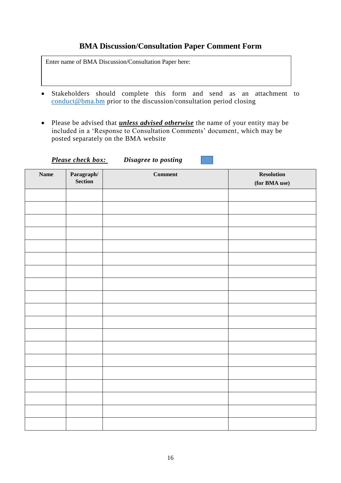# **BMA Discussion/Consultation Paper Comment Form**

Enter name of BMA Discussion/Consultation Paper here:

- Stakeholders should complete this form and send as an attachment to [conduct@bma.bm](mailto:conduct@bma.bm) prior to the discussion/consultation period closing
- Please be advised that *unless advised otherwise* the name of your entity may be included in a 'Response to Consultation Comments' document, which may be posted separately on the BMA website

*Please check box: Disagree to posting*

| <b>Name</b> | <b>Paragraph/</b><br>Section | $Comment$ | <b>Resolution</b><br>(for BMA use) |
|-------------|------------------------------|-----------|------------------------------------|
|             |                              |           |                                    |
|             |                              |           |                                    |
|             |                              |           |                                    |
|             |                              |           |                                    |
|             |                              |           |                                    |
|             |                              |           |                                    |
|             |                              |           |                                    |
|             |                              |           |                                    |
|             |                              |           |                                    |
|             |                              |           |                                    |
|             |                              |           |                                    |
|             |                              |           |                                    |
|             |                              |           |                                    |
|             |                              |           |                                    |
|             |                              |           |                                    |
|             |                              |           |                                    |
|             |                              |           |                                    |
|             |                              |           |                                    |